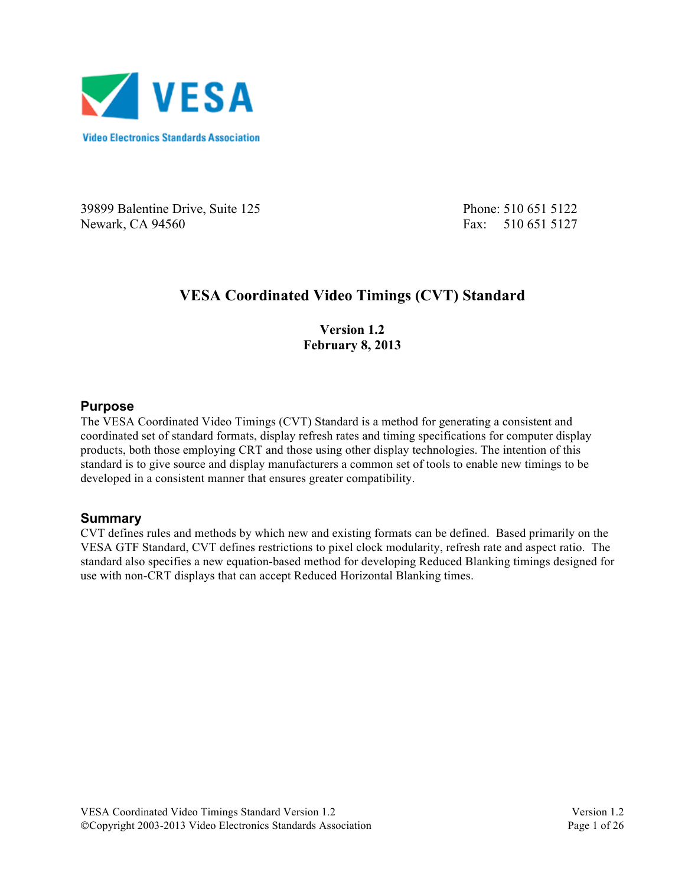

39899 Balentine Drive, Suite 125 Phone: 510 651 5122 Newark, CA 94560 **Fax: 510 651 5127** 

# **VESA Coordinated Video Timings (CVT) Standard**

**Version 1.2 February 8, 2013**

#### **Purpose**

The VESA Coordinated Video Timings (CVT) Standard is a method for generating a consistent and coordinated set of standard formats, display refresh rates and timing specifications for computer display products, both those employing CRT and those using other display technologies. The intention of this standard is to give source and display manufacturers a common set of tools to enable new timings to be developed in a consistent manner that ensures greater compatibility.

### **Summary**

CVT defines rules and methods by which new and existing formats can be defined. Based primarily on the VESA GTF Standard, CVT defines restrictions to pixel clock modularity, refresh rate and aspect ratio. The standard also specifies a new equation-based method for developing Reduced Blanking timings designed for use with non-CRT displays that can accept Reduced Horizontal Blanking times.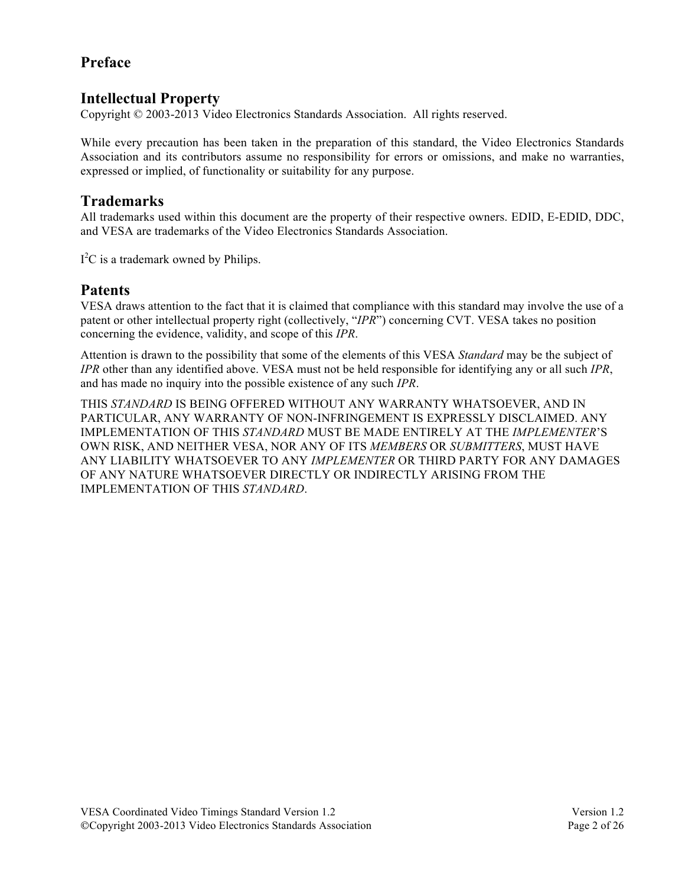# **Preface**

### **Intellectual Property**

Copyright © 2003-2013 Video Electronics Standards Association. All rights reserved.

While every precaution has been taken in the preparation of this standard, the Video Electronics Standards Association and its contributors assume no responsibility for errors or omissions, and make no warranties, expressed or implied, of functionality or suitability for any purpose.

### **Trademarks**

All trademarks used within this document are the property of their respective owners. EDID, E-EDID, DDC, and VESA are trademarks of the Video Electronics Standards Association.

 $I<sup>2</sup>C$  is a trademark owned by Philips.

# **Patents**

VESA draws attention to the fact that it is claimed that compliance with this standard may involve the use of a patent or other intellectual property right (collectively, "*IPR*") concerning CVT. VESA takes no position concerning the evidence, validity, and scope of this *IPR*.

Attention is drawn to the possibility that some of the elements of this VESA *Standard* may be the subject of *IPR* other than any identified above. VESA must not be held responsible for identifying any or all such *IPR*, and has made no inquiry into the possible existence of any such *IPR*.

THIS *STANDARD* IS BEING OFFERED WITHOUT ANY WARRANTY WHATSOEVER, AND IN PARTICULAR, ANY WARRANTY OF NON-INFRINGEMENT IS EXPRESSLY DISCLAIMED. ANY IMPLEMENTATION OF THIS *STANDARD* MUST BE MADE ENTIRELY AT THE *IMPLEMENTER*'S OWN RISK, AND NEITHER VESA, NOR ANY OF ITS *MEMBERS* OR *SUBMITTERS*, MUST HAVE ANY LIABILITY WHATSOEVER TO ANY *IMPLEMENTER* OR THIRD PARTY FOR ANY DAMAGES OF ANY NATURE WHATSOEVER DIRECTLY OR INDIRECTLY ARISING FROM THE IMPLEMENTATION OF THIS *STANDARD*.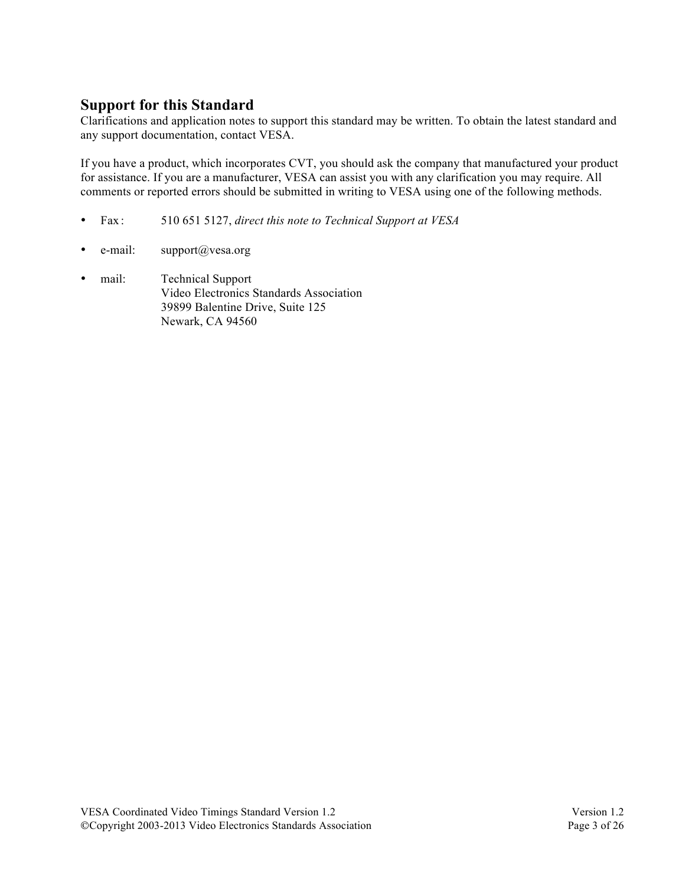# **Support for this Standard**

Clarifications and application notes to support this standard may be written. To obtain the latest standard and any support documentation, contact VESA.

If you have a product, which incorporates CVT, you should ask the company that manufactured your product for assistance. If you are a manufacturer, VESA can assist you with any clarification you may require. All comments or reported errors should be submitted in writing to VESA using one of the following methods.

- Fax : 510 651 5127, *direct this note to Technical Support at VESA*
- e-mail: support@vesa.org
- mail: Technical Support Video Electronics Standards Association 39899 Balentine Drive, Suite 125 Newark, CA 94560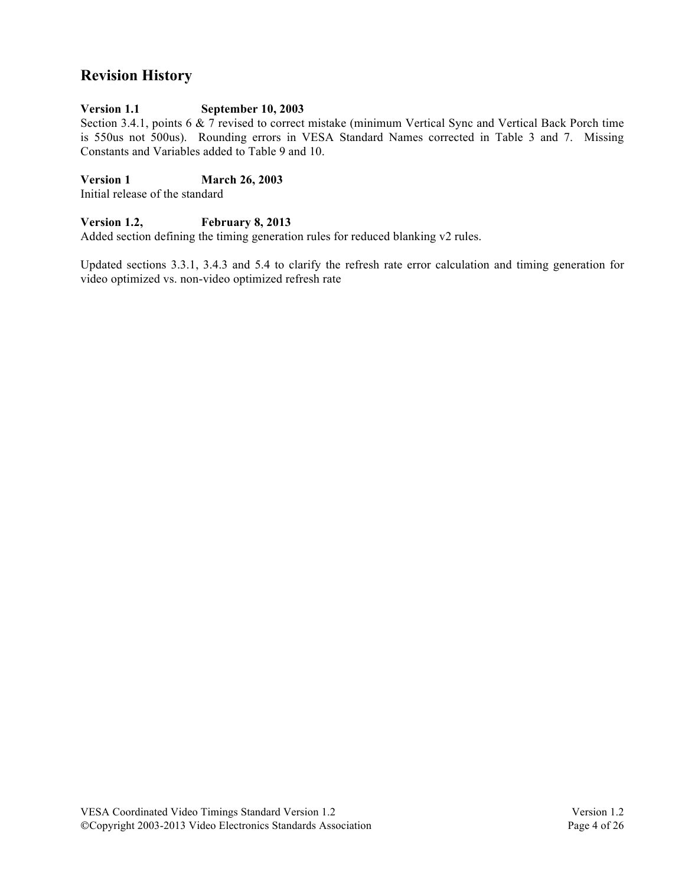# **Revision History**

### **Version 1.1 September 10, 2003**

Section 3.4.1, points 6 & 7 revised to correct mistake (minimum Vertical Sync and Vertical Back Porch time is 550us not 500us). Rounding errors in VESA Standard Names corrected in Table 3 and 7. Missing Constants and Variables added to Table 9 and 10.

**Version 1 March 26, 2003**

Initial release of the standard

### **Version 1.2, February 8, 2013**

Added section defining the timing generation rules for reduced blanking v2 rules.

Updated sections 3.3.1, 3.4.3 and 5.4 to clarify the refresh rate error calculation and timing generation for video optimized vs. non-video optimized refresh rate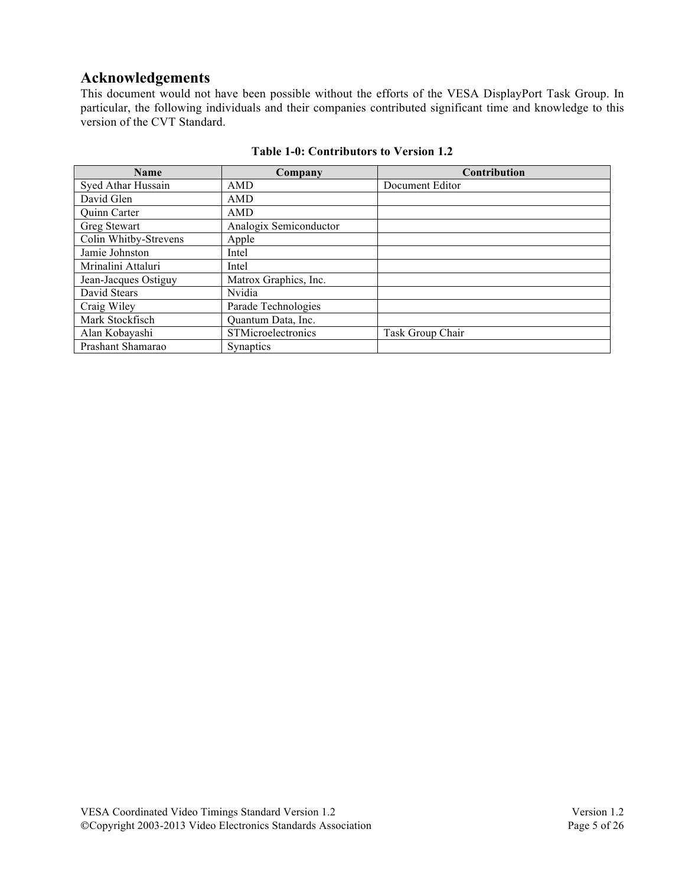# **Acknowledgements**

This document would not have been possible without the efforts of the VESA DisplayPort Task Group. In particular, the following individuals and their companies contributed significant time and knowledge to this version of the CVT Standard.

| <b>Name</b>           | Company                | <b>Contribution</b> |
|-----------------------|------------------------|---------------------|
| Syed Athar Hussain    | <b>AMD</b>             | Document Editor     |
| David Glen            | AMD                    |                     |
| Quinn Carter          | AMD                    |                     |
| Greg Stewart          | Analogix Semiconductor |                     |
| Colin Whitby-Strevens | Apple                  |                     |
| Jamie Johnston        | Intel                  |                     |
| Mrinalini Attaluri    | Intel                  |                     |
| Jean-Jacques Ostiguy  | Matrox Graphics, Inc.  |                     |
| David Stears          | Nvidia                 |                     |
| Craig Wiley           | Parade Technologies    |                     |
| Mark Stockfisch       | Quantum Data, Inc.     |                     |
| Alan Kobayashi        | STMicroelectronics     | Task Group Chair    |
| Prashant Shamarao     | <b>Synaptics</b>       |                     |

#### **Table 1-0: Contributors to Version 1.2**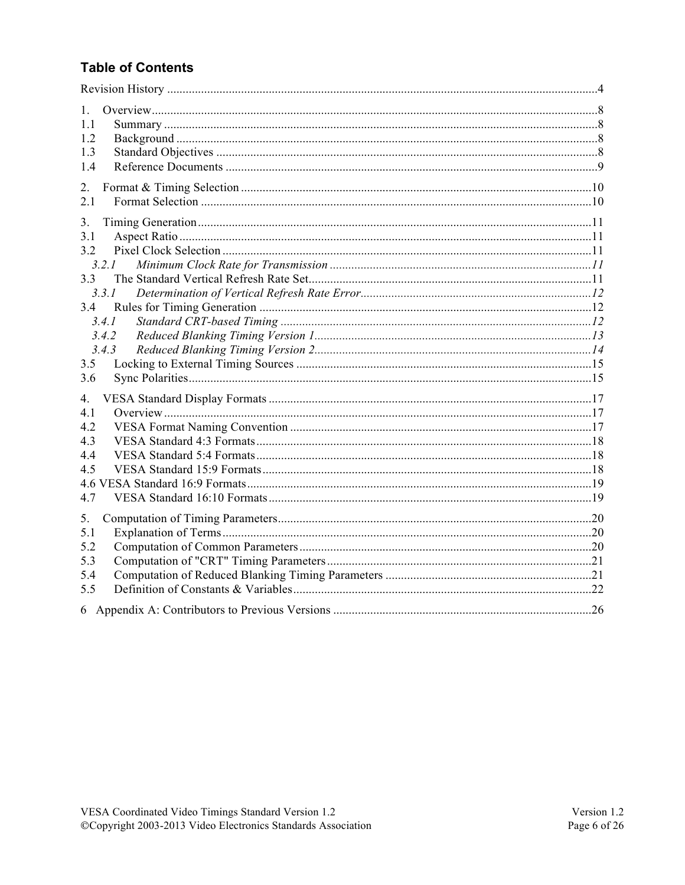# **Table of Contents**

| $\mathbf{1}$ |  |
|--------------|--|
| 1.1<br>1.2   |  |
| 1.3          |  |
| 14           |  |
|              |  |
| 2.           |  |
| 2.1          |  |
| 3.           |  |
| 3.1          |  |
| 3.2          |  |
| 3.2.1        |  |
| 3.3          |  |
| 3.3.1        |  |
| 3.4          |  |
| 3.4.1        |  |
| 3.4.2        |  |
| 3.4.3        |  |
| 3.5          |  |
| 3.6          |  |
| 4.           |  |
| 4.1          |  |
| 4.2          |  |
| 4.3          |  |
| 4.4          |  |
| 4.5          |  |
|              |  |
| 4.7          |  |
|              |  |
| 5.<br>5.1    |  |
| 5.2          |  |
| 5.3          |  |
| 5.4          |  |
| 5.5          |  |
|              |  |
|              |  |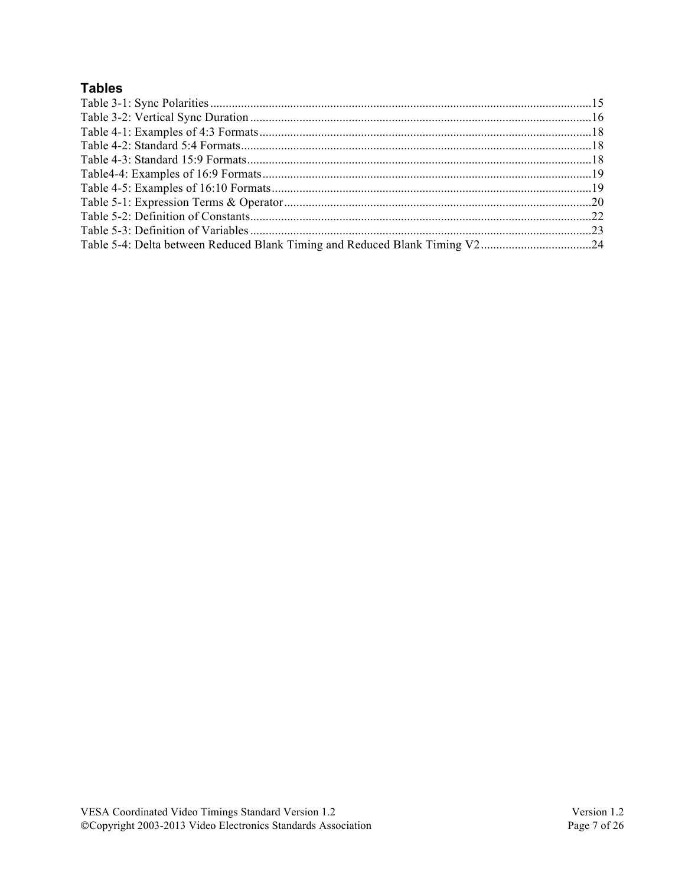# **Tables**

| Table 5-4: Delta between Reduced Blank Timing and Reduced Blank Timing V224 |  |
|-----------------------------------------------------------------------------|--|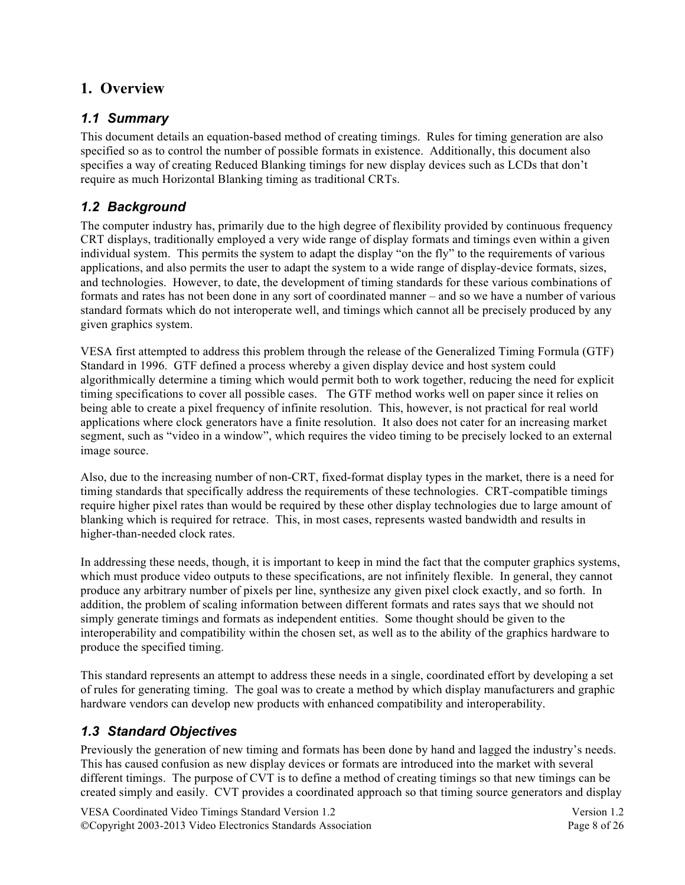# **1. Overview**

### *1.1 Summary*

This document details an equation-based method of creating timings. Rules for timing generation are also specified so as to control the number of possible formats in existence. Additionally, this document also specifies a way of creating Reduced Blanking timings for new display devices such as LCDs that don't require as much Horizontal Blanking timing as traditional CRTs.

### *1.2 Background*

The computer industry has, primarily due to the high degree of flexibility provided by continuous frequency CRT displays, traditionally employed a very wide range of display formats and timings even within a given individual system. This permits the system to adapt the display "on the fly" to the requirements of various applications, and also permits the user to adapt the system to a wide range of display-device formats, sizes, and technologies. However, to date, the development of timing standards for these various combinations of formats and rates has not been done in any sort of coordinated manner – and so we have a number of various standard formats which do not interoperate well, and timings which cannot all be precisely produced by any given graphics system.

VESA first attempted to address this problem through the release of the Generalized Timing Formula (GTF) Standard in 1996. GTF defined a process whereby a given display device and host system could algorithmically determine a timing which would permit both to work together, reducing the need for explicit timing specifications to cover all possible cases. The GTF method works well on paper since it relies on being able to create a pixel frequency of infinite resolution. This, however, is not practical for real world applications where clock generators have a finite resolution. It also does not cater for an increasing market segment, such as "video in a window", which requires the video timing to be precisely locked to an external image source.

Also, due to the increasing number of non-CRT, fixed-format display types in the market, there is a need for timing standards that specifically address the requirements of these technologies. CRT-compatible timings require higher pixel rates than would be required by these other display technologies due to large amount of blanking which is required for retrace. This, in most cases, represents wasted bandwidth and results in higher-than-needed clock rates.

In addressing these needs, though, it is important to keep in mind the fact that the computer graphics systems, which must produce video outputs to these specifications, are not infinitely flexible. In general, they cannot produce any arbitrary number of pixels per line, synthesize any given pixel clock exactly, and so forth. In addition, the problem of scaling information between different formats and rates says that we should not simply generate timings and formats as independent entities. Some thought should be given to the interoperability and compatibility within the chosen set, as well as to the ability of the graphics hardware to produce the specified timing.

This standard represents an attempt to address these needs in a single, coordinated effort by developing a set of rules for generating timing. The goal was to create a method by which display manufacturers and graphic hardware vendors can develop new products with enhanced compatibility and interoperability.

### *1.3 Standard Objectives*

Previously the generation of new timing and formats has been done by hand and lagged the industry's needs. This has caused confusion as new display devices or formats are introduced into the market with several different timings. The purpose of CVT is to define a method of creating timings so that new timings can be created simply and easily. CVT provides a coordinated approach so that timing source generators and display

VESA Coordinated Video Timings Standard Version 1.2 Version 1.2 ©Copyright 2003-2013 Video Electronics Standards Association Page 8 of 26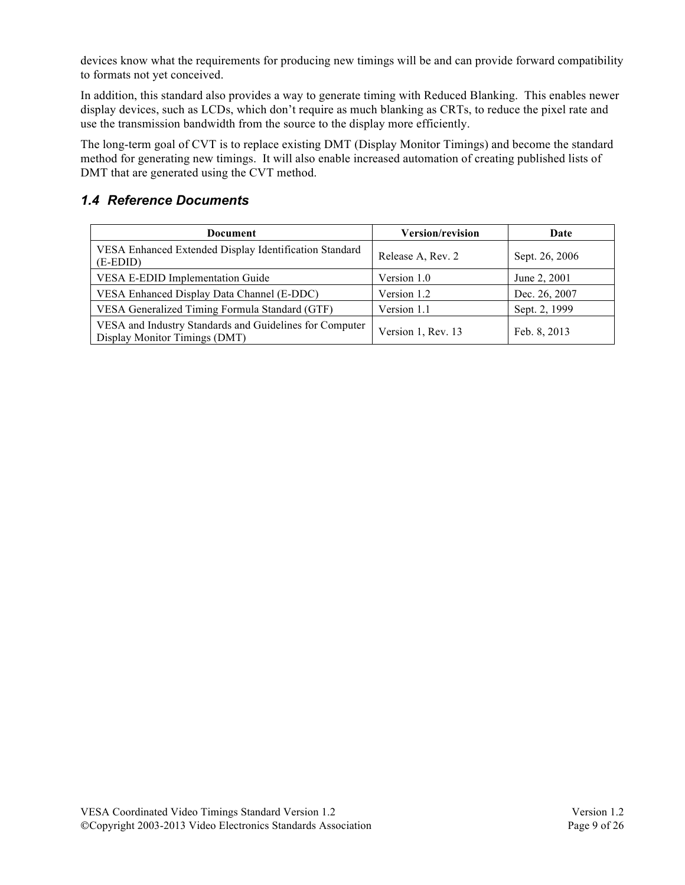devices know what the requirements for producing new timings will be and can provide forward compatibility to formats not yet conceived.

In addition, this standard also provides a way to generate timing with Reduced Blanking. This enables newer display devices, such as LCDs, which don't require as much blanking as CRTs, to reduce the pixel rate and use the transmission bandwidth from the source to the display more efficiently.

The long-term goal of CVT is to replace existing DMT (Display Monitor Timings) and become the standard method for generating new timings. It will also enable increased automation of creating published lists of DMT that are generated using the CVT method.

### *1.4 Reference Documents*

| <b>Document</b>                                                                          | Version/revision   | Date           |
|------------------------------------------------------------------------------------------|--------------------|----------------|
| VESA Enhanced Extended Display Identification Standard<br>$(E-EDID)$                     | Release A, Rev. 2  | Sept. 26, 2006 |
| <b>VESA E-EDID Implementation Guide</b>                                                  | Version 1.0        | June 2, 2001   |
| VESA Enhanced Display Data Channel (E-DDC)                                               | Version 1.2        | Dec. 26, 2007  |
| VESA Generalized Timing Formula Standard (GTF)                                           | Version 1.1        | Sept. 2, 1999  |
| VESA and Industry Standards and Guidelines for Computer<br>Display Monitor Timings (DMT) | Version 1, Rev. 13 | Feb. 8, 2013   |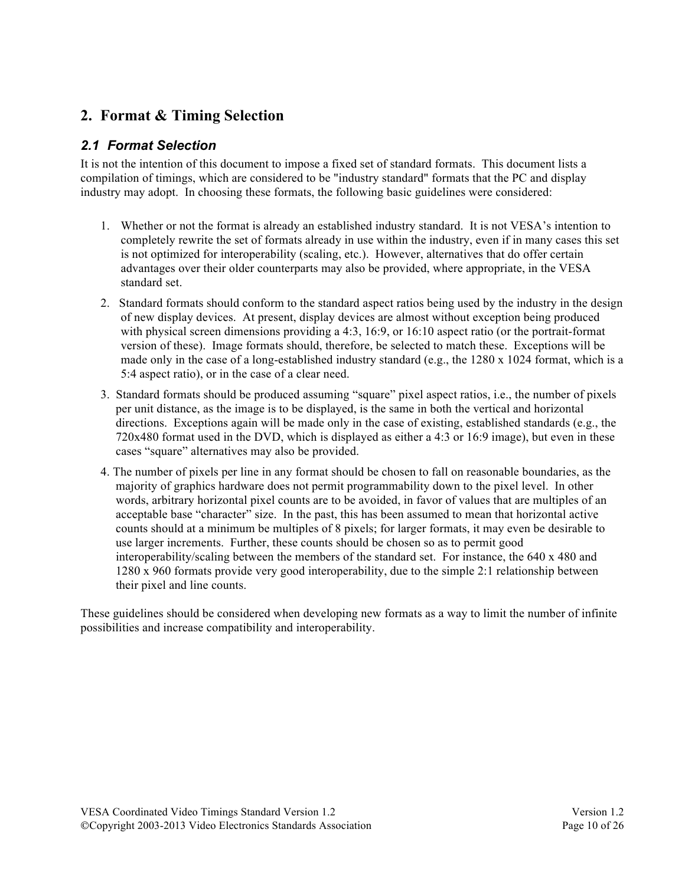# **2. Format & Timing Selection**

## *2.1 Format Selection*

It is not the intention of this document to impose a fixed set of standard formats. This document lists a compilation of timings, which are considered to be "industry standard" formats that the PC and display industry may adopt. In choosing these formats, the following basic guidelines were considered:

- 1. Whether or not the format is already an established industry standard. It is not VESA's intention to completely rewrite the set of formats already in use within the industry, even if in many cases this set is not optimized for interoperability (scaling, etc.). However, alternatives that do offer certain advantages over their older counterparts may also be provided, where appropriate, in the VESA standard set.
- 2. Standard formats should conform to the standard aspect ratios being used by the industry in the design of new display devices. At present, display devices are almost without exception being produced with physical screen dimensions providing a 4:3, 16:9, or 16:10 aspect ratio (or the portrait-format version of these). Image formats should, therefore, be selected to match these. Exceptions will be made only in the case of a long-established industry standard (e.g., the  $1280 \times 1024$  format, which is a 5:4 aspect ratio), or in the case of a clear need.
- 3. Standard formats should be produced assuming "square" pixel aspect ratios, i.e., the number of pixels per unit distance, as the image is to be displayed, is the same in both the vertical and horizontal directions. Exceptions again will be made only in the case of existing, established standards (e.g., the 720x480 format used in the DVD, which is displayed as either a 4:3 or 16:9 image), but even in these cases "square" alternatives may also be provided.
- 4. The number of pixels per line in any format should be chosen to fall on reasonable boundaries, as the majority of graphics hardware does not permit programmability down to the pixel level. In other words, arbitrary horizontal pixel counts are to be avoided, in favor of values that are multiples of an acceptable base "character" size. In the past, this has been assumed to mean that horizontal active counts should at a minimum be multiples of 8 pixels; for larger formats, it may even be desirable to use larger increments. Further, these counts should be chosen so as to permit good interoperability/scaling between the members of the standard set. For instance, the 640 x 480 and 1280 x 960 formats provide very good interoperability, due to the simple 2:1 relationship between their pixel and line counts.

These guidelines should be considered when developing new formats as a way to limit the number of infinite possibilities and increase compatibility and interoperability.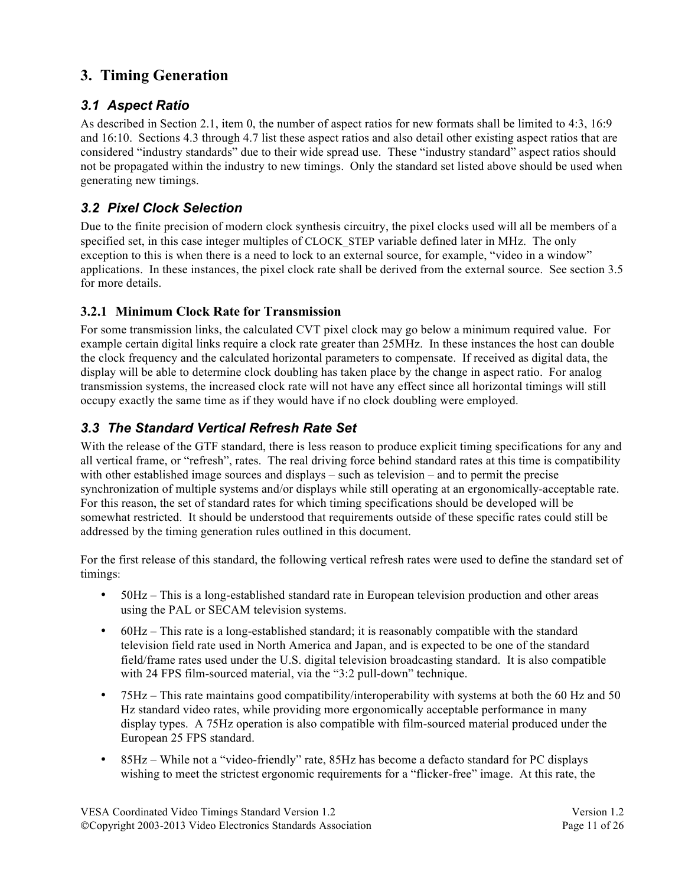# **3. Timing Generation**

### *3.1 Aspect Ratio*

As described in Section 2.1, item 0, the number of aspect ratios for new formats shall be limited to 4:3, 16:9 and 16:10. Sections 4.3 through 4.7 list these aspect ratios and also detail other existing aspect ratios that are considered "industry standards" due to their wide spread use. These "industry standard" aspect ratios should not be propagated within the industry to new timings. Only the standard set listed above should be used when generating new timings.

# *3.2 Pixel Clock Selection*

Due to the finite precision of modern clock synthesis circuitry, the pixel clocks used will all be members of a specified set, in this case integer multiples of CLOCK STEP variable defined later in MHz. The only exception to this is when there is a need to lock to an external source, for example, "video in a window" applications. In these instances, the pixel clock rate shall be derived from the external source. See section 3.5 for more details.

### **3.2.1 Minimum Clock Rate for Transmission**

For some transmission links, the calculated CVT pixel clock may go below a minimum required value. For example certain digital links require a clock rate greater than 25MHz. In these instances the host can double the clock frequency and the calculated horizontal parameters to compensate. If received as digital data, the display will be able to determine clock doubling has taken place by the change in aspect ratio. For analog transmission systems, the increased clock rate will not have any effect since all horizontal timings will still occupy exactly the same time as if they would have if no clock doubling were employed.

# *3.3 The Standard Vertical Refresh Rate Set*

With the release of the GTF standard, there is less reason to produce explicit timing specifications for any and all vertical frame, or "refresh", rates. The real driving force behind standard rates at this time is compatibility with other established image sources and displays – such as television – and to permit the precise synchronization of multiple systems and/or displays while still operating at an ergonomically-acceptable rate. For this reason, the set of standard rates for which timing specifications should be developed will be somewhat restricted. It should be understood that requirements outside of these specific rates could still be addressed by the timing generation rules outlined in this document.

For the first release of this standard, the following vertical refresh rates were used to define the standard set of timings:

- 50Hz This is a long-established standard rate in European television production and other areas using the PAL or SECAM television systems.
- 60Hz This rate is a long-established standard; it is reasonably compatible with the standard television field rate used in North America and Japan, and is expected to be one of the standard field/frame rates used under the U.S. digital television broadcasting standard. It is also compatible with 24 FPS film-sourced material, via the "3:2 pull-down" technique.
- 75Hz This rate maintains good compatibility/interoperability with systems at both the 60 Hz and 50 Hz standard video rates, while providing more ergonomically acceptable performance in many display types. A 75Hz operation is also compatible with film-sourced material produced under the European 25 FPS standard.
- 85Hz While not a "video-friendly" rate, 85Hz has become a defacto standard for PC displays wishing to meet the strictest ergonomic requirements for a "flicker-free" image. At this rate, the

VESA Coordinated Video Timings Standard Version 1.2 Version 1.2 ©Copyright 2003-2013 Video Electronics Standards Association Page 11 of 26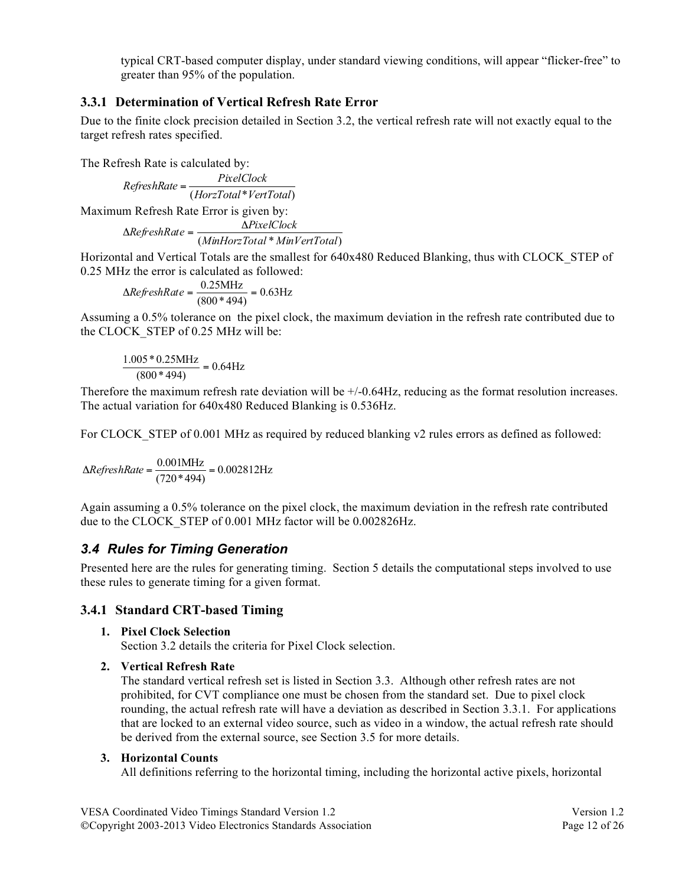typical CRT-based computer display, under standard viewing conditions, will appear "flicker-free" to greater than 95% of the population.

### **3.3.1 Determination of Vertical Refresh Rate Error**

Due to the finite clock precision detailed in Section 3.2, the vertical refresh rate will not exactly equal to the target refresh rates specified.

The Refresh Rate is calculated by:

(*HorzTotal*\**VertTotal*) *PixelClock RefreshRate* <sup>=</sup>

Maximum Refresh Rate Error is given by:

$$
\Delta RefreshRate = \frac{\Delta PicelClock}{(MinHorzTotal*MinVertTotal)}
$$

Horizontal and Vertical Totals are the smallest for 640x480 Reduced Blanking, thus with CLOCK\_STEP of 0.25 MHz the error is calculated as followed:

$$
\Delta RefreshRate = \frac{0.25 \text{MHz}}{(800 * 494)} = 0.63 \text{Hz}
$$

Assuming a 0.5% tolerance on the pixel clock, the maximum deviation in the refresh rate contributed due to the CLOCK STEP of 0.25 MHz will be:

$$
\frac{1.005 * 0.25 \text{MHz}}{(800 * 494)} = 0.64 \text{Hz}
$$

Therefore the maximum refresh rate deviation will be +/-0.64Hz, reducing as the format resolution increases. The actual variation for 640x480 Reduced Blanking is 0.536Hz.

For CLOCK STEP of 0.001 MHz as required by reduced blanking v2 rules errors as defined as followed:

$$
\Delta RefreshRate = \frac{0.001 \text{MHz}}{(720*494)} = 0.002812 \text{Hz}
$$

Again assuming a 0.5% tolerance on the pixel clock, the maximum deviation in the refresh rate contributed due to the CLOCK\_STEP of 0.001 MHz factor will be 0.002826Hz.

### *3.4 Rules for Timing Generation*

Presented here are the rules for generating timing. Section 5 details the computational steps involved to use these rules to generate timing for a given format.

### **3.4.1 Standard CRT-based Timing**

### **1. Pixel Clock Selection**

Section 3.2 details the criteria for Pixel Clock selection.

### **2. Vertical Refresh Rate**

The standard vertical refresh set is listed in Section 3.3. Although other refresh rates are not prohibited, for CVT compliance one must be chosen from the standard set. Due to pixel clock rounding, the actual refresh rate will have a deviation as described in Section 3.3.1. For applications that are locked to an external video source, such as video in a window, the actual refresh rate should be derived from the external source, see Section 3.5 for more details.

#### **3. Horizontal Counts**

All definitions referring to the horizontal timing, including the horizontal active pixels, horizontal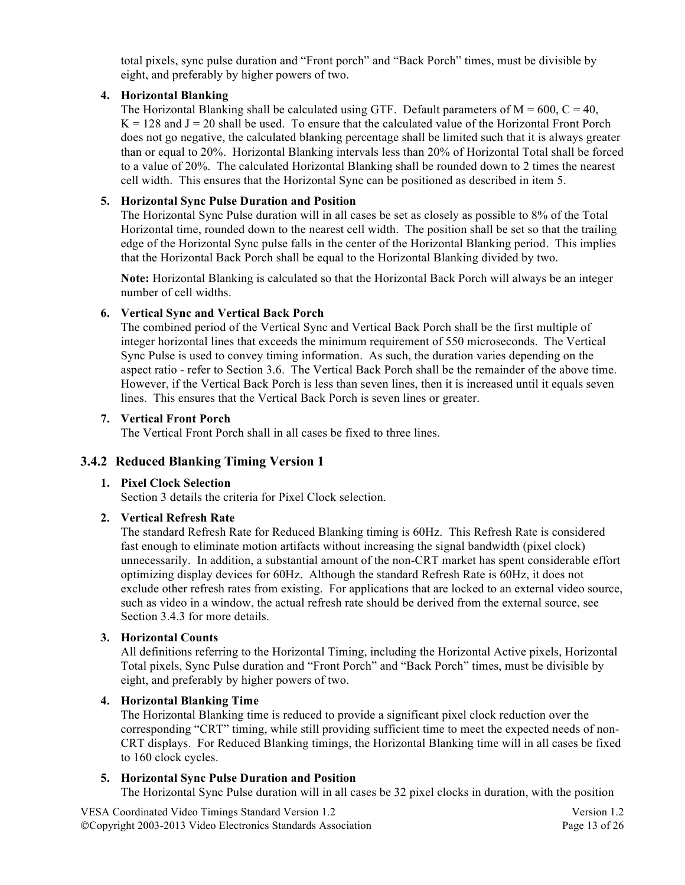total pixels, sync pulse duration and "Front porch" and "Back Porch" times, must be divisible by eight, and preferably by higher powers of two.

### **4. Horizontal Blanking**

The Horizontal Blanking shall be calculated using GTF. Default parameters of  $M = 600$ ,  $C = 40$ ,  $K = 128$  and  $J = 20$  shall be used. To ensure that the calculated value of the Horizontal Front Porch does not go negative, the calculated blanking percentage shall be limited such that it is always greater than or equal to 20%. Horizontal Blanking intervals less than 20% of Horizontal Total shall be forced to a value of 20%. The calculated Horizontal Blanking shall be rounded down to 2 times the nearest cell width. This ensures that the Horizontal Sync can be positioned as described in item 5.

### **5. Horizontal Sync Pulse Duration and Position**

The Horizontal Sync Pulse duration will in all cases be set as closely as possible to 8% of the Total Horizontal time, rounded down to the nearest cell width. The position shall be set so that the trailing edge of the Horizontal Sync pulse falls in the center of the Horizontal Blanking period. This implies that the Horizontal Back Porch shall be equal to the Horizontal Blanking divided by two.

**Note:** Horizontal Blanking is calculated so that the Horizontal Back Porch will always be an integer number of cell widths.

#### **6. Vertical Sync and Vertical Back Porch**

The combined period of the Vertical Sync and Vertical Back Porch shall be the first multiple of integer horizontal lines that exceeds the minimum requirement of 550 microseconds. The Vertical Sync Pulse is used to convey timing information. As such, the duration varies depending on the aspect ratio - refer to Section 3.6. The Vertical Back Porch shall be the remainder of the above time. However, if the Vertical Back Porch is less than seven lines, then it is increased until it equals seven lines. This ensures that the Vertical Back Porch is seven lines or greater.

#### **7. Vertical Front Porch**

The Vertical Front Porch shall in all cases be fixed to three lines.

### **3.4.2 Reduced Blanking Timing Version 1**

#### **1. Pixel Clock Selection**

Section 3 details the criteria for Pixel Clock selection.

### **2. Vertical Refresh Rate**

The standard Refresh Rate for Reduced Blanking timing is 60Hz. This Refresh Rate is considered fast enough to eliminate motion artifacts without increasing the signal bandwidth (pixel clock) unnecessarily. In addition, a substantial amount of the non-CRT market has spent considerable effort optimizing display devices for 60Hz. Although the standard Refresh Rate is 60Hz, it does not exclude other refresh rates from existing. For applications that are locked to an external video source, such as video in a window, the actual refresh rate should be derived from the external source, see Section 3.4.3 for more details.

### **3. Horizontal Counts**

All definitions referring to the Horizontal Timing, including the Horizontal Active pixels, Horizontal Total pixels, Sync Pulse duration and "Front Porch" and "Back Porch" times, must be divisible by eight, and preferably by higher powers of two.

#### **4. Horizontal Blanking Time**

The Horizontal Blanking time is reduced to provide a significant pixel clock reduction over the corresponding "CRT" timing, while still providing sufficient time to meet the expected needs of non-CRT displays. For Reduced Blanking timings, the Horizontal Blanking time will in all cases be fixed to 160 clock cycles.

#### **5. Horizontal Sync Pulse Duration and Position**

The Horizontal Sync Pulse duration will in all cases be 32 pixel clocks in duration, with the position

VESA Coordinated Video Timings Standard Version 1.2 Version 1.2 ©Copyright 2003-2013 Video Electronics Standards Association Page 13 of 26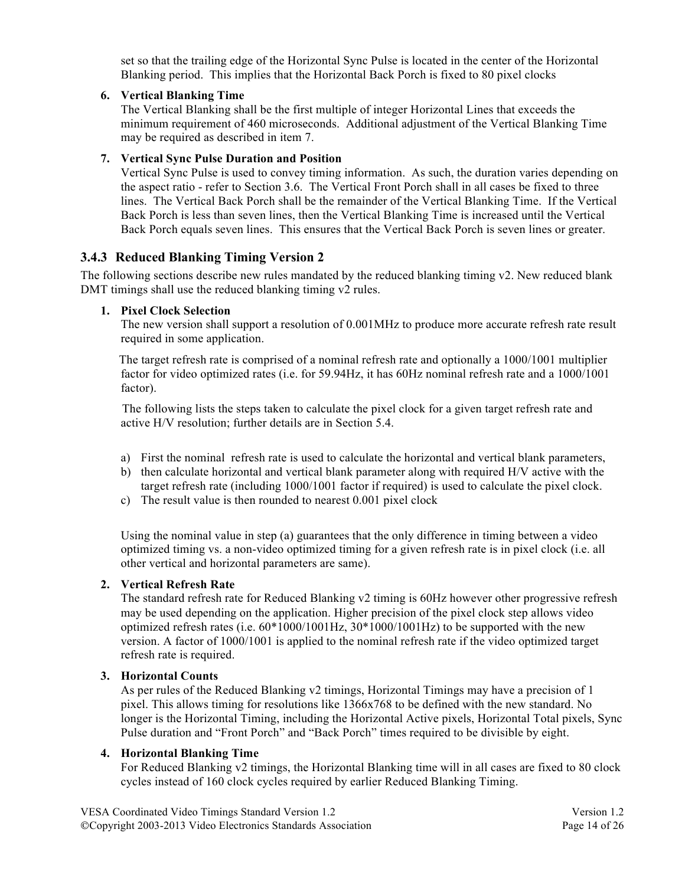set so that the trailing edge of the Horizontal Sync Pulse is located in the center of the Horizontal Blanking period. This implies that the Horizontal Back Porch is fixed to 80 pixel clocks

#### **6. Vertical Blanking Time**

The Vertical Blanking shall be the first multiple of integer Horizontal Lines that exceeds the minimum requirement of 460 microseconds. Additional adjustment of the Vertical Blanking Time may be required as described in item 7.

#### **7. Vertical Sync Pulse Duration and Position**

Vertical Sync Pulse is used to convey timing information. As such, the duration varies depending on the aspect ratio - refer to Section 3.6. The Vertical Front Porch shall in all cases be fixed to three lines. The Vertical Back Porch shall be the remainder of the Vertical Blanking Time. If the Vertical Back Porch is less than seven lines, then the Vertical Blanking Time is increased until the Vertical Back Porch equals seven lines. This ensures that the Vertical Back Porch is seven lines or greater.

### **3.4.3 Reduced Blanking Timing Version 2**

The following sections describe new rules mandated by the reduced blanking timing v2. New reduced blank DMT timings shall use the reduced blanking timing v2 rules.

#### **1. Pixel Clock Selection**

The new version shall support a resolution of 0.001MHz to produce more accurate refresh rate result required in some application.

 The target refresh rate is comprised of a nominal refresh rate and optionally a 1000/1001 multiplier factor for video optimized rates (i.e. for 59.94Hz, it has 60Hz nominal refresh rate and a 1000/1001 factor).

 The following lists the steps taken to calculate the pixel clock for a given target refresh rate and active H/V resolution; further details are in Section 5.4.

- a) First the nominal refresh rate is used to calculate the horizontal and vertical blank parameters,
- b) then calculate horizontal and vertical blank parameter along with required H/V active with the target refresh rate (including 1000/1001 factor if required) is used to calculate the pixel clock.
- c) The result value is then rounded to nearest 0.001 pixel clock

Using the nominal value in step (a) guarantees that the only difference in timing between a video optimized timing vs. a non-video optimized timing for a given refresh rate is in pixel clock (i.e. all other vertical and horizontal parameters are same).

#### **2. Vertical Refresh Rate**

The standard refresh rate for Reduced Blanking v2 timing is 60Hz however other progressive refresh may be used depending on the application. Higher precision of the pixel clock step allows video optimized refresh rates (i.e. 60\*1000/1001Hz, 30\*1000/1001Hz) to be supported with the new version. A factor of 1000/1001 is applied to the nominal refresh rate if the video optimized target refresh rate is required.

#### **3. Horizontal Counts**

As per rules of the Reduced Blanking v2 timings, Horizontal Timings may have a precision of 1 pixel. This allows timing for resolutions like 1366x768 to be defined with the new standard. No longer is the Horizontal Timing, including the Horizontal Active pixels, Horizontal Total pixels, Sync Pulse duration and "Front Porch" and "Back Porch" times required to be divisible by eight.

#### **4. Horizontal Blanking Time**

For Reduced Blanking v2 timings, the Horizontal Blanking time will in all cases are fixed to 80 clock cycles instead of 160 clock cycles required by earlier Reduced Blanking Timing.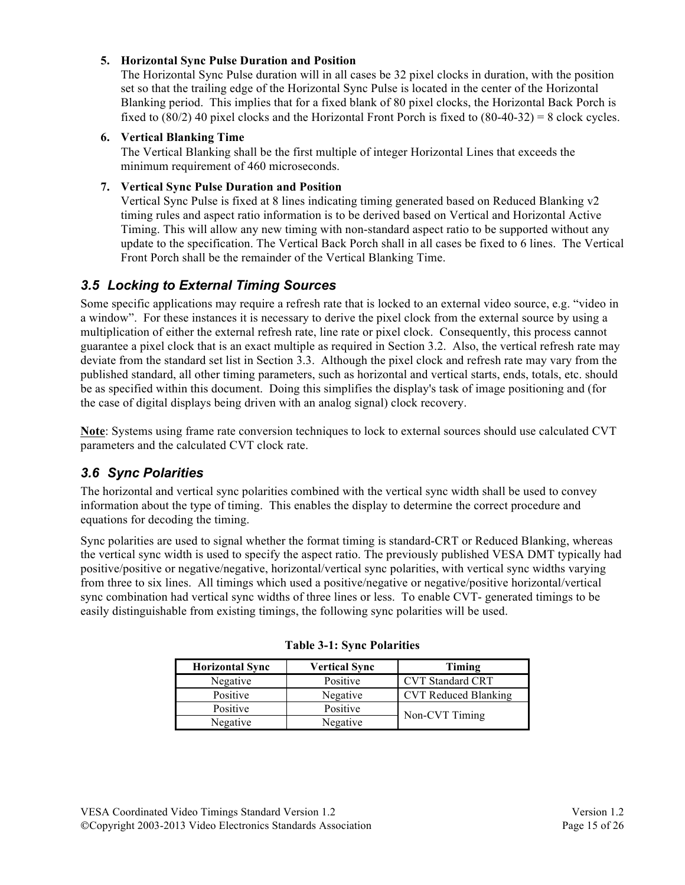### **5. Horizontal Sync Pulse Duration and Position**

The Horizontal Sync Pulse duration will in all cases be 32 pixel clocks in duration, with the position set so that the trailing edge of the Horizontal Sync Pulse is located in the center of the Horizontal Blanking period. This implies that for a fixed blank of 80 pixel clocks, the Horizontal Back Porch is fixed to (80/2) 40 pixel clocks and the Horizontal Front Porch is fixed to (80-40-32) = 8 clock cycles.

#### **6. Vertical Blanking Time**

The Vertical Blanking shall be the first multiple of integer Horizontal Lines that exceeds the minimum requirement of 460 microseconds.

#### **7. Vertical Sync Pulse Duration and Position**

Vertical Sync Pulse is fixed at 8 lines indicating timing generated based on Reduced Blanking v2 timing rules and aspect ratio information is to be derived based on Vertical and Horizontal Active Timing. This will allow any new timing with non-standard aspect ratio to be supported without any update to the specification. The Vertical Back Porch shall in all cases be fixed to 6 lines. The Vertical Front Porch shall be the remainder of the Vertical Blanking Time.

### *3.5 Locking to External Timing Sources*

Some specific applications may require a refresh rate that is locked to an external video source, e.g. "video in a window". For these instances it is necessary to derive the pixel clock from the external source by using a multiplication of either the external refresh rate, line rate or pixel clock. Consequently, this process cannot guarantee a pixel clock that is an exact multiple as required in Section 3.2. Also, the vertical refresh rate may deviate from the standard set list in Section 3.3. Although the pixel clock and refresh rate may vary from the published standard, all other timing parameters, such as horizontal and vertical starts, ends, totals, etc. should be as specified within this document. Doing this simplifies the display's task of image positioning and (for the case of digital displays being driven with an analog signal) clock recovery.

**Note**: Systems using frame rate conversion techniques to lock to external sources should use calculated CVT parameters and the calculated CVT clock rate.

### *3.6 Sync Polarities*

The horizontal and vertical sync polarities combined with the vertical sync width shall be used to convey information about the type of timing. This enables the display to determine the correct procedure and equations for decoding the timing.

Sync polarities are used to signal whether the format timing is standard-CRT or Reduced Blanking, whereas the vertical sync width is used to specify the aspect ratio. The previously published VESA DMT typically had positive/positive or negative/negative, horizontal/vertical sync polarities, with vertical sync widths varying from three to six lines. All timings which used a positive/negative or negative/positive horizontal/vertical sync combination had vertical sync widths of three lines or less. To enable CVT- generated timings to be easily distinguishable from existing timings, the following sync polarities will be used.

| <b>Horizontal Sync</b> | <b>Vertical Sync</b> | Timing                      |
|------------------------|----------------------|-----------------------------|
| Negative               | Positive             | <b>CVT</b> Standard CRT     |
| Positive               | Negative             | <b>CVT Reduced Blanking</b> |
| Positive               | Positive             |                             |
| Negative               | Negative             | Non-CVT Timing              |

|  |  |  |  | <b>Table 3-1: Sync Polarities</b> |
|--|--|--|--|-----------------------------------|
|--|--|--|--|-----------------------------------|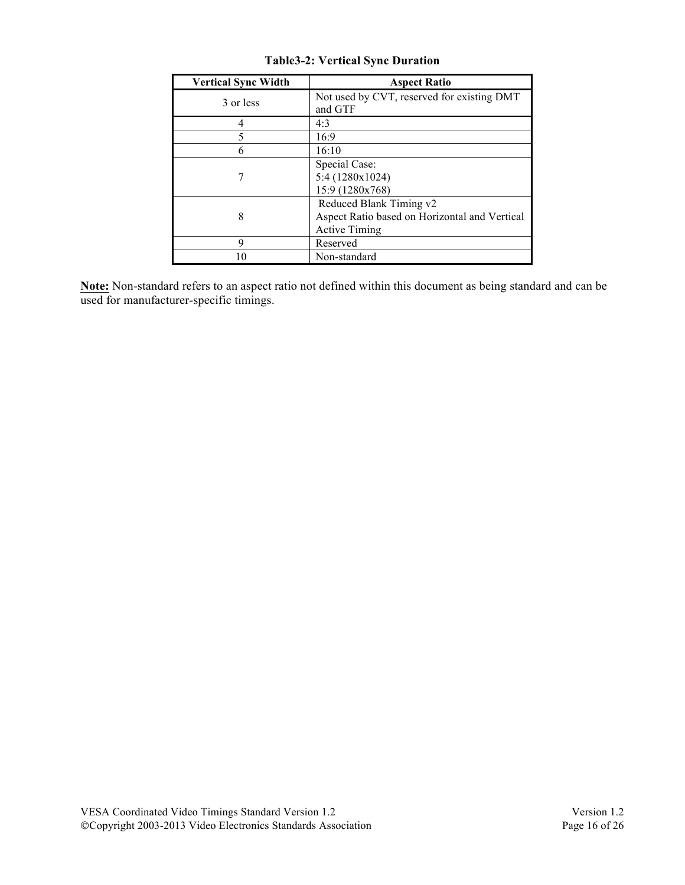| <b>Vertical Sync Width</b> | <b>Aspect Ratio</b>                                                                              |
|----------------------------|--------------------------------------------------------------------------------------------------|
| 3 or less                  | Not used by CVT, reserved for existing DMT<br>and GTF                                            |
| 4                          | 4:3                                                                                              |
| 5                          | 16:9                                                                                             |
| 6                          | 16:10                                                                                            |
|                            | Special Case:<br>5:4 (1280x1024)<br>15:9 (1280x768)                                              |
| 8                          | Reduced Blank Timing v2<br>Aspect Ratio based on Horizontal and Vertical<br><b>Active Timing</b> |
| 9                          | Reserved                                                                                         |
| 10                         | Non-standard                                                                                     |

**Table3-2: Vertical Sync Duration**

**Note:** Non-standard refers to an aspect ratio not defined within this document as being standard and can be used for manufacturer-specific timings.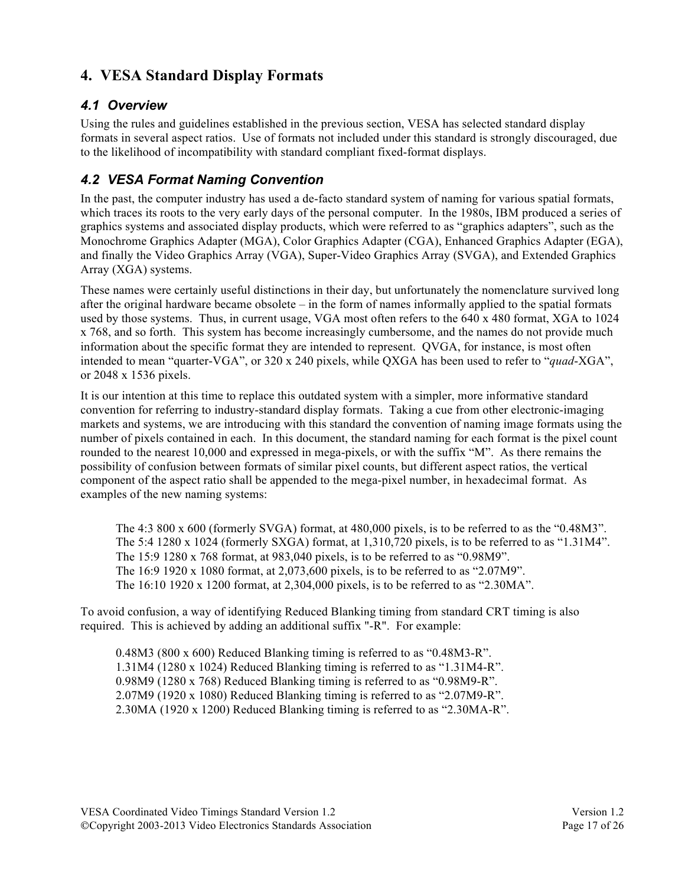# **4. VESA Standard Display Formats**

### *4.1 Overview*

Using the rules and guidelines established in the previous section, VESA has selected standard display formats in several aspect ratios. Use of formats not included under this standard is strongly discouraged, due to the likelihood of incompatibility with standard compliant fixed-format displays.

# *4.2 VESA Format Naming Convention*

In the past, the computer industry has used a de-facto standard system of naming for various spatial formats, which traces its roots to the very early days of the personal computer. In the 1980s, IBM produced a series of graphics systems and associated display products, which were referred to as "graphics adapters", such as the Monochrome Graphics Adapter (MGA), Color Graphics Adapter (CGA), Enhanced Graphics Adapter (EGA), and finally the Video Graphics Array (VGA), Super-Video Graphics Array (SVGA), and Extended Graphics Array (XGA) systems.

These names were certainly useful distinctions in their day, but unfortunately the nomenclature survived long after the original hardware became obsolete – in the form of names informally applied to the spatial formats used by those systems. Thus, in current usage, VGA most often refers to the 640 x 480 format, XGA to 1024 x 768, and so forth. This system has become increasingly cumbersome, and the names do not provide much information about the specific format they are intended to represent. QVGA, for instance, is most often intended to mean "quarter-VGA", or 320 x 240 pixels, while QXGA has been used to refer to "*quad*-XGA", or 2048 x 1536 pixels.

It is our intention at this time to replace this outdated system with a simpler, more informative standard convention for referring to industry-standard display formats. Taking a cue from other electronic-imaging markets and systems, we are introducing with this standard the convention of naming image formats using the number of pixels contained in each. In this document, the standard naming for each format is the pixel count rounded to the nearest 10,000 and expressed in mega-pixels, or with the suffix "M". As there remains the possibility of confusion between formats of similar pixel counts, but different aspect ratios, the vertical component of the aspect ratio shall be appended to the mega-pixel number, in hexadecimal format. As examples of the new naming systems:

The 4:3 800 x 600 (formerly SVGA) format, at 480,000 pixels, is to be referred to as the "0.48M3". The 5:4 1280 x 1024 (formerly SXGA) format, at 1,310,720 pixels, is to be referred to as "1.31M4". The 15:9 1280 x 768 format, at 983,040 pixels, is to be referred to as "0.98M9". The 16:9 1920 x 1080 format, at 2,073,600 pixels, is to be referred to as "2.07M9". The 16:10 1920 x 1200 format, at 2,304,000 pixels, is to be referred to as "2.30MA".

To avoid confusion, a way of identifying Reduced Blanking timing from standard CRT timing is also required. This is achieved by adding an additional suffix "-R". For example:

0.48M3 (800 x 600) Reduced Blanking timing is referred to as "0.48M3-R". 1.31M4 (1280 x 1024) Reduced Blanking timing is referred to as "1.31M4-R". 0.98M9 (1280 x 768) Reduced Blanking timing is referred to as "0.98M9-R". 2.07M9 (1920 x 1080) Reduced Blanking timing is referred to as "2.07M9-R". 2.30MA (1920 x 1200) Reduced Blanking timing is referred to as "2.30MA-R".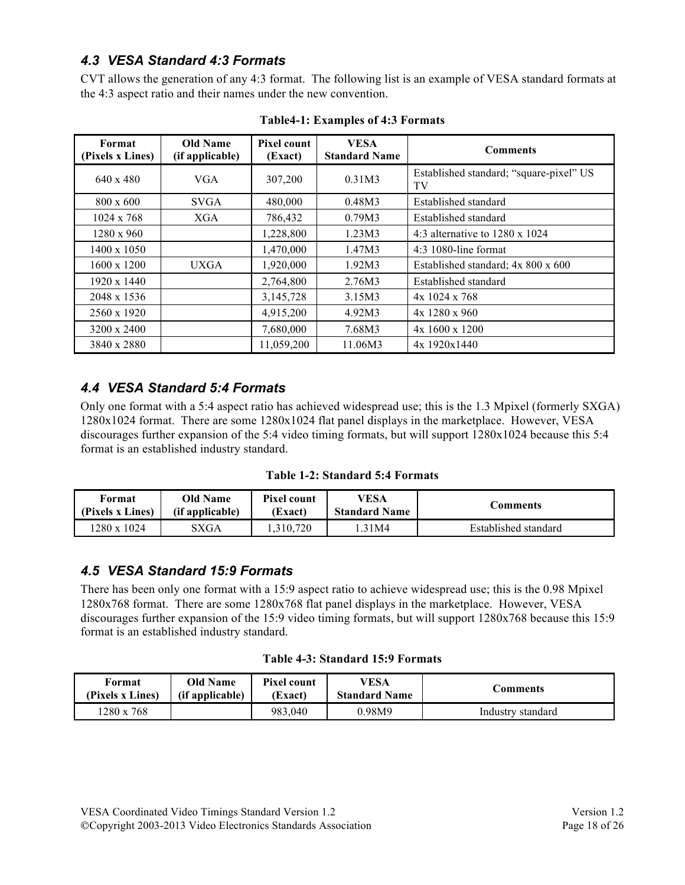# *4.3 VESA Standard 4:3 Formats*

CVT allows the generation of any 4:3 format. The following list is an example of VESA standard formats at the 4:3 aspect ratio and their names under the new convention.

| Format<br>(Pixels x Lines) | <b>Old Name</b><br>(if applicable) | Pixel count<br>(Exact) | <b>VESA</b><br><b>Standard Name</b> | <b>Comments</b>                               |
|----------------------------|------------------------------------|------------------------|-------------------------------------|-----------------------------------------------|
| $640 \times 480$           | <b>VGA</b>                         | 307,200                | 0.31M3                              | Established standard; "square-pixel" US<br>TV |
| $800 \times 600$           | <b>SVGA</b>                        | 480,000                | 0.48M3                              | Established standard                          |
| $1024 \times 768$          | XGA                                | 786,432                | 0.79M3                              | Established standard                          |
| $1280 \times 960$          |                                    | 1,228,800              | 1.23M3                              | 4:3 alternative to $1280 \times 1024$         |
| 1400 x 1050                |                                    | 1,470,000              | 1.47M3                              | $4:3$ 1080-line format                        |
| $1600 \times 1200$         | <b>UXGA</b>                        | 1,920,000              | 1.92M3                              | Established standard; 4x 800 x 600            |
| 1920 x 1440                |                                    | 2,764,800              | 2.76M3                              | Established standard                          |
| 2048 x 1536                |                                    | 3,145,728              | 3.15M3                              | $4x$ 1024 x 768                               |
| 2560 x 1920                |                                    | 4,915,200              | 4.92M3                              | $4x$ 1280 x 960                               |
| 3200 x 2400                |                                    | 7,680,000              | 7.68M3                              | $4x1600 \times 1200$                          |
| 3840 x 2880                |                                    | 11,059,200             | 11.06M3                             | 4x 1920x1440                                  |

**Table4-1: Examples of 4:3 Formats**

# *4.4 VESA Standard 5:4 Formats*

Only one format with a 5:4 aspect ratio has achieved widespread use; this is the 1.3 Mpixel (formerly SXGA) 1280x1024 format. There are some 1280x1024 flat panel displays in the marketplace. However, VESA discourages further expansion of the 5:4 video timing formats, but will support 1280x1024 because this 5:4 format is an established industry standard.

|  | <b>Table 1-2: Standard 5:4 Formats</b> |  |  |
|--|----------------------------------------|--|--|
|--|----------------------------------------|--|--|

| Format           | Old Name        | <b>Pixel count</b> | VESA                 | Comments             |
|------------------|-----------------|--------------------|----------------------|----------------------|
| (Pixels x Lines) | (if applicable) | (Exact)            | <b>Standard Name</b> |                      |
| 1280 x 1024      | SXGA            | 310.720            | .31M4                | Established standard |

### *4.5 VESA Standard 15:9 Formats*

There has been only one format with a 15:9 aspect ratio to achieve widespread use; this is the 0.98 Mpixel 1280x768 format. There are some 1280x768 flat panel displays in the marketplace. However, VESA discourages further expansion of the 15:9 video timing formats, but will support 1280x768 because this 15:9 format is an established industry standard.

### **Table 4-3: Standard 15:9 Formats**

| Format           | <b>Old Name</b> | <b>Pixel count</b> | VESA                 | Comments          |
|------------------|-----------------|--------------------|----------------------|-------------------|
| (Pixels x Lines) | (if applicable) | (Exact)            | <b>Standard Name</b> |                   |
| 1280 x 768       |                 | 983.040            | 0.98M9               | Industry standard |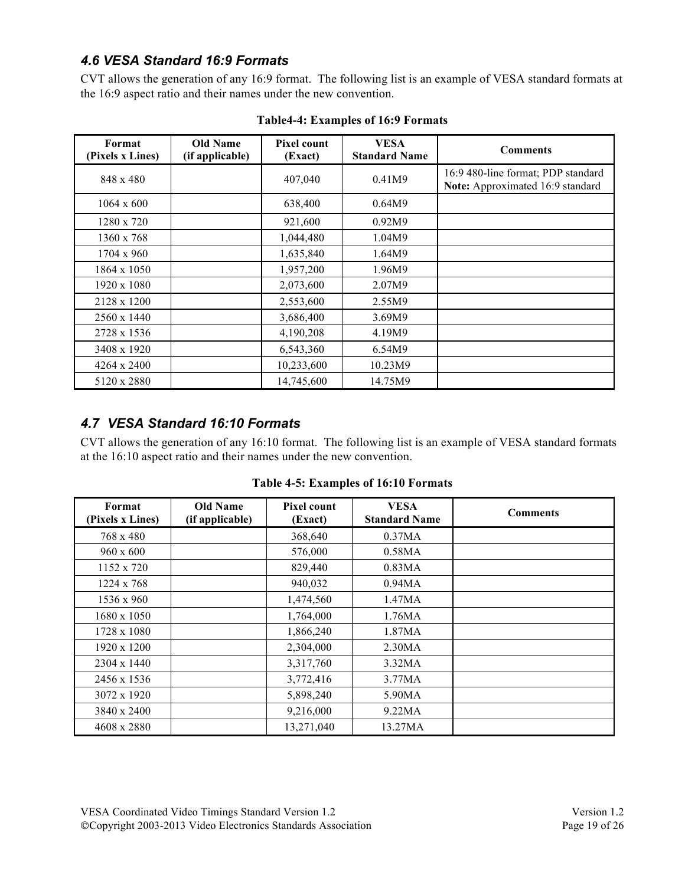### *4.6 VESA Standard 16:9 Formats*

CVT allows the generation of any 16:9 format. The following list is an example of VESA standard formats at the 16:9 aspect ratio and their names under the new convention.

| Format<br>(Pixels x Lines) | <b>Old Name</b><br>(if applicable) | <b>Pixel count</b><br>(Exact) | <b>VESA</b><br><b>Standard Name</b> | <b>Comments</b>                                                        |
|----------------------------|------------------------------------|-------------------------------|-------------------------------------|------------------------------------------------------------------------|
| 848 x 480                  |                                    | 407,040                       | 0.41M9                              | 16:9 480-line format; PDP standard<br>Note: Approximated 16:9 standard |
| $1064 \times 600$          |                                    | 638,400                       | 0.64M9                              |                                                                        |
| 1280 x 720                 |                                    | 921,600                       | 0.92M9                              |                                                                        |
| 1360 x 768                 |                                    | 1,044,480                     | 1.04M9                              |                                                                        |
| 1704 x 960                 |                                    | 1,635,840                     | 1.64M9                              |                                                                        |
| 1864 x 1050                |                                    | 1,957,200                     | 1.96M9                              |                                                                        |
| 1920 x 1080                |                                    | 2,073,600                     | 2.07M9                              |                                                                        |
| 2128 x 1200                |                                    | 2,553,600                     | 2.55M9                              |                                                                        |
| 2560 x 1440                |                                    | 3,686,400                     | 3.69M9                              |                                                                        |
| 2728 x 1536                |                                    | 4,190,208                     | 4.19M9                              |                                                                        |
| 3408 x 1920                |                                    | 6,543,360                     | 6.54M9                              |                                                                        |
| 4264 x 2400                |                                    | 10,233,600                    | 10.23M9                             |                                                                        |
| 5120 x 2880                |                                    | 14,745,600                    | 14.75M9                             |                                                                        |

**Table4-4: Examples of 16:9 Formats**

# *4.7 VESA Standard 16:10 Formats*

CVT allows the generation of any 16:10 format. The following list is an example of VESA standard formats at the 16:10 aspect ratio and their names under the new convention.

| Format<br>(Pixels x Lines) | <b>Old Name</b><br>(if applicable) | Pixel count<br>(Exact) | <b>VESA</b><br><b>Standard Name</b> | <b>Comments</b> |
|----------------------------|------------------------------------|------------------------|-------------------------------------|-----------------|
| 768 x 480                  |                                    | 368,640                | 0.37MA                              |                 |
| $960 \times 600$           |                                    | 576,000                | 0.58MA                              |                 |
| 1152 x 720                 |                                    | 829,440                | 0.83MA                              |                 |
| 1224 x 768                 |                                    | 940,032                | 0.94MA                              |                 |
| 1536 x 960                 |                                    | 1,474,560              | 1.47MA                              |                 |
| 1680 x 1050                |                                    | 1,764,000              | 1.76MA                              |                 |
| 1728 x 1080                |                                    | 1,866,240              | 1.87MA                              |                 |
| 1920 x 1200                |                                    | 2,304,000              | 2.30MA                              |                 |
| 2304 x 1440                |                                    | 3,317,760              | 3.32MA                              |                 |
| 2456 x 1536                |                                    | 3,772,416              | 3.77MA                              |                 |
| 3072 x 1920                |                                    | 5,898,240              | 5.90MA                              |                 |
| 3840 x 2400                |                                    | 9,216,000              | 9.22MA                              |                 |
| 4608 x 2880                |                                    | 13,271,040             | 13.27MA                             |                 |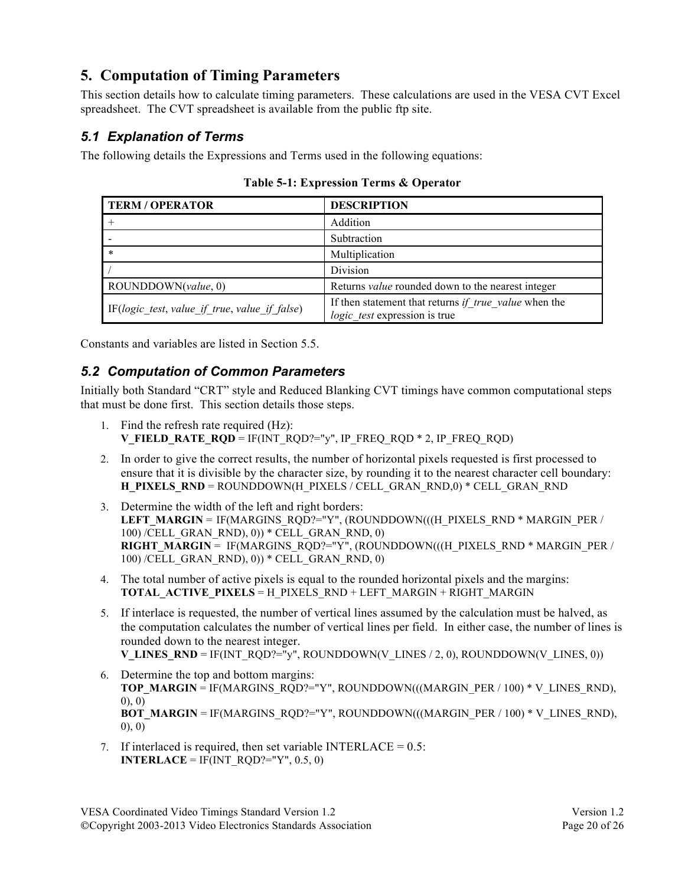# **5. Computation of Timing Parameters**

This section details how to calculate timing parameters. These calculations are used in the VESA CVT Excel spreadsheet. The CVT spreadsheet is available from the public ftp site.

## *5.1 Explanation of Terms*

The following details the Expressions and Terms used in the following equations:

| <b>TERM / OPERATOR</b>                        | <b>DESCRIPTION</b>                                                                     |
|-----------------------------------------------|----------------------------------------------------------------------------------------|
|                                               | Addition                                                                               |
|                                               | Subtraction                                                                            |
| *                                             | Multiplication                                                                         |
|                                               | Division                                                                               |
| ROUNDDOWN(value, 0)                           | Returns <i>value</i> rounded down to the nearest integer                               |
| IF(logic test, value if true, value if false) | If then statement that returns if true value when the<br>logic test expression is true |

**Table 5-1: Expression Terms & Operator**

Constants and variables are listed in Section 5.5.

# *5.2 Computation of Common Parameters*

Initially both Standard "CRT" style and Reduced Blanking CVT timings have common computational steps that must be done first. This section details those steps.

- 1. Find the refresh rate required (Hz): **V\_FIELD\_RATE\_RQD** = IF(INT\_RQD?="y", IP\_FREQ\_RQD \* 2, IP\_FREQ\_RQD)
- 2. In order to give the correct results, the number of horizontal pixels requested is first processed to ensure that it is divisible by the character size, by rounding it to the nearest character cell boundary: **H\_PIXELS\_RND** = ROUNDDOWN(H\_PIXELS / CELL\_GRAN\_RND,0) \* CELL\_GRAN\_RND
- 3. Determine the width of the left and right borders: LEFT\_MARGIN = IF(MARGINS\_RQD?="Y", (ROUNDDOWN(((H\_PIXELS\_RND \* MARGIN\_PER / 100) /CELL\_GRAN\_RND), 0)) \* CELL\_GRAN\_RND, 0) **RIGHT\_MARGIN** = IF(MARGINS\_RQD?="Y", (ROUNDDOWN(((H\_PIXELS\_RND \* MARGIN\_PER / 100) /CELL\_GRAN\_RND), 0)) \* CELL\_GRAN\_RND, 0)
- 4. The total number of active pixels is equal to the rounded horizontal pixels and the margins: **TOTAL\_ACTIVE\_PIXELS** = H\_PIXELS\_RND + LEFT\_MARGIN + RIGHT\_MARGIN
- 5. If interlace is requested, the number of vertical lines assumed by the calculation must be halved, as the computation calculates the number of vertical lines per field. In either case, the number of lines is rounded down to the nearest integer. **V\_LINES\_RND** = IF(INT\_RQD?= $\mathbf{v}$ y", ROUNDDOWN(V\_LINES / 2, 0), ROUNDDOWN(V\_LINES, 0))
- 6. Determine the top and bottom margins: **TOP\_MARGIN = IF(MARGINS\_RQD?="Y", ROUNDDOWN(((MARGIN\_PER / 100) \* V\_LINES\_RND),** 0), 0) **BOT\_MARGIN = IF(MARGINS\_RQD?="Y", ROUNDDOWN(((MARGIN\_PER / 100) \* V\_LINES\_RND),** 0), 0)
- 7. If interlaced is required, then set variable INTERLACE =  $0.5$ : **INTERLACE** = IF(INT\_RQD?="Y", 0.5, 0)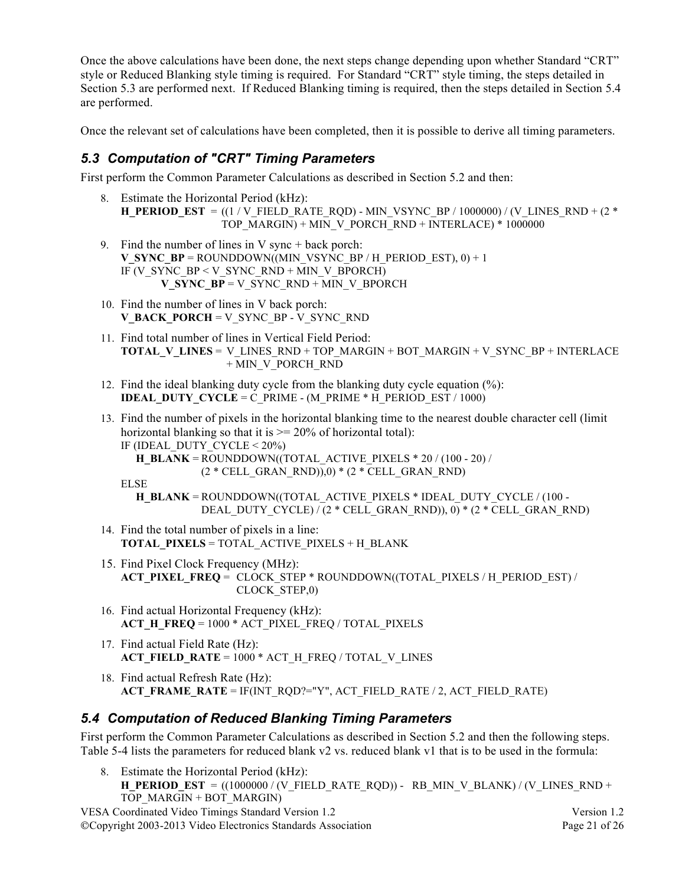Once the above calculations have been done, the next steps change depending upon whether Standard "CRT" style or Reduced Blanking style timing is required. For Standard "CRT" style timing, the steps detailed in Section 5.3 are performed next. If Reduced Blanking timing is required, then the steps detailed in Section 5.4 are performed.

Once the relevant set of calculations have been completed, then it is possible to derive all timing parameters.

### *5.3 Computation of "CRT" Timing Parameters*

First perform the Common Parameter Calculations as described in Section 5.2 and then:

- 8. Estimate the Horizontal Period (kHz): **H\_PERIOD\_EST** =  $((1 / V$  FIELD\_RATE\_RQD) - MIN\_VSYNC\_BP / 1000000) / (V\_LINES\_RND + (2 \* TOP\_MARGIN) + MIN\_V\_PORCH\_RND + INTERLACE) \* 1000000
- 9. Find the number of lines in  $V$  sync + back porch: **V\_SYNC\_BP** = ROUNDDOWN((MIN\_VSYNC\_BP / H\_PERIOD\_EST), 0) + 1 IF (V\_SYNC\_BP < V\_SYNC\_RND + MIN\_V\_BPORCH) **V\_SYNC\_BP** = V\_SYNC\_RND + MIN\_V\_BPORCH
- 10. Find the number of lines in V back porch: **V\_BACK\_PORCH** = V\_SYNC\_BP - V\_SYNC\_RND
- 11. Find total number of lines in Vertical Field Period: **TOTAL\_V\_LINES** = V\_LINES\_RND + TOP\_MARGIN + BOT\_MARGIN + V\_SYNC\_BP + INTERLACE + MIN\_V\_PORCH\_RND
- 12. Find the ideal blanking duty cycle from the blanking duty cycle equation (%): **IDEAL\_DUTY\_CYCLE = C\_PRIME - (M\_PRIME \* H\_PERIOD\_EST / 1000)**
- 13. Find the number of pixels in the horizontal blanking time to the nearest double character cell (limit horizontal blanking so that it is  $\geq$  20% of horizontal total): IF (IDEAL\_DUTY\_CYCLE  $\leq 20\%$ )
	- **H\_BLANK** = ROUNDDOWN((TOTAL\_ACTIVE\_PIXELS  $*$  20 / (100 20) / (2 \* CELL\_GRAN\_RND)),0) \* (2 \* CELL\_GRAN\_RND)

ELSE

- **H\_BLANK** = ROUNDDOWN((TOTAL\_ACTIVE\_PIXELS \* IDEAL\_DUTY\_CYCLE / (100 -DEAL\_DUTY\_CYCLE) / (2 \* CELL\_GRAN\_RND)), 0) \* (2 \* CELL\_GRAN\_RND)
- 14. Find the total number of pixels in a line: **TOTAL\_PIXELS** = TOTAL\_ACTIVE\_PIXELS + H\_BLANK
- 15. Find Pixel Clock Frequency (MHz): **ACT\_PIXEL\_FREQ** = CLOCK\_STEP \* ROUNDDOWN((TOTAL\_PIXELS / H\_PERIOD\_EST) / CLOCK\_STEP,0)
- 16. Find actual Horizontal Frequency (kHz): **ACT\_H\_FREQ** = 1000 \* ACT\_PIXEL\_FREQ / TOTAL\_PIXELS
- 17. Find actual Field Rate (Hz): **ACT\_FIELD\_RATE** = 1000 \* ACT\_H\_FREQ / TOTAL\_V\_LINES
- 18. Find actual Refresh Rate (Hz): **ACT\_FRAME\_RATE** = IF(INT\_RQD?="Y", ACT\_FIELD\_RATE / 2, ACT\_FIELD\_RATE)

### *5.4 Computation of Reduced Blanking Timing Parameters*

First perform the Common Parameter Calculations as described in Section 5.2 and then the following steps. Table 5-4 lists the parameters for reduced blank v2 vs. reduced blank v1 that is to be used in the formula:

8. Estimate the Horizontal Period (kHz): **H\_PERIOD\_EST** =  $((1000000 / (V\_FIELD\_RATE\_RQD)) - RB\_MIN\_V\_BLANK) / (V\_LINES\_RND +$ TOP\_MARGIN + BOT\_MARGIN)

VESA Coordinated Video Timings Standard Version 1.2 Version 1.2 ©Copyright 2003-2013 Video Electronics Standards Association Page 21 of 26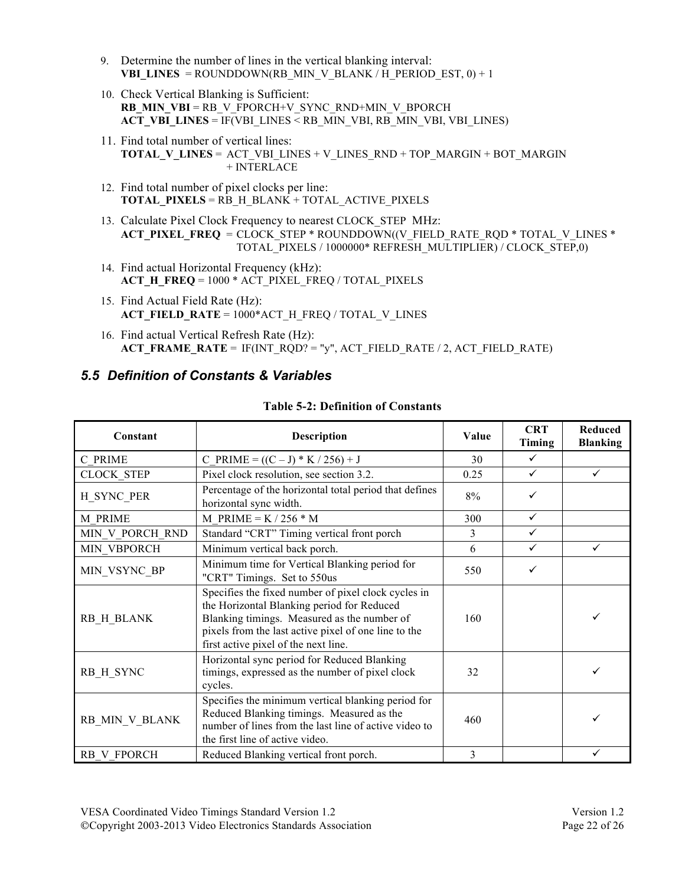- 9. Determine the number of lines in the vertical blanking interval: **VBI\_LINES** = ROUNDDOWN(RB\_MIN\_V\_BLANK / H\_PERIOD\_EST, 0) + 1
- 10. Check Vertical Blanking is Sufficient: **RB\_MIN\_VBI** = RB\_V\_FPORCH+V\_SYNC\_RND+MIN\_V\_BPORCH **ACT\_VBI\_LINES** = IF(VBI\_LINES < RB\_MIN\_VBI, RB\_MIN\_VBI, VBI\_LINES)
- 11. Find total number of vertical lines: **TOTAL\_V\_LINES** = ACT\_VBI\_LINES + V\_LINES\_RND + TOP\_MARGIN + BOT\_MARGIN + INTERLACE
- 12. Find total number of pixel clocks per line: **TOTAL\_PIXELS** = RB\_H\_BLANK + TOTAL\_ACTIVE\_PIXELS
- 13. Calculate Pixel Clock Frequency to nearest CLOCK\_STEP MHz: **ACT\_PIXEL\_FREQ = CLOCK\_STEP \* ROUNDDOWN((V\_FIELD\_RATE\_RQD \* TOTAL\_V\_LINES \*** TOTAL\_PIXELS / 1000000\* REFRESH\_MULTIPLIER) / CLOCK\_STEP,0)
- 14. Find actual Horizontal Frequency (kHz): **ACT\_H\_FREQ** = 1000 \* ACT\_PIXEL\_FREQ / TOTAL\_PIXELS
- 15. Find Actual Field Rate (Hz): **ACT\_FIELD\_RATE** = 1000\*ACT\_H\_FREQ / TOTAL\_V\_LINES
- 16. Find actual Vertical Refresh Rate (Hz): **ACT\_FRAME\_RATE** = IF(INT\_RQD? = "y", ACT\_FIELD\_RATE / 2, ACT\_FIELD\_RATE)

# *5.5 Definition of Constants & Variables*

| Constant          | <b>Description</b>                                                                                                                                                                                                                               | Value | <b>CRT</b><br>Timing | <b>Reduced</b><br><b>Blanking</b> |
|-------------------|--------------------------------------------------------------------------------------------------------------------------------------------------------------------------------------------------------------------------------------------------|-------|----------------------|-----------------------------------|
| C PRIME           | $C_P$ RIME = $((C – J) * K / 256) + J$                                                                                                                                                                                                           | 30    | $\checkmark$         |                                   |
| <b>CLOCK STEP</b> | Pixel clock resolution, see section 3.2.                                                                                                                                                                                                         | 0.25  | ✓                    | $\checkmark$                      |
| H_SYNC_PER        | Percentage of the horizontal total period that defines<br>horizontal sync width.                                                                                                                                                                 | 8%    | ✓                    |                                   |
| M PRIME           | M PRIME = $K / 256 * M$                                                                                                                                                                                                                          | 300   | ✓                    |                                   |
| MIN V PORCH RND   | Standard "CRT" Timing vertical front porch                                                                                                                                                                                                       | 3     | ✓                    |                                   |
| MIN VBPORCH       | Minimum vertical back porch.                                                                                                                                                                                                                     | 6     | ✓                    | $\checkmark$                      |
| MIN VSYNC BP      | Minimum time for Vertical Blanking period for<br>"CRT" Timings. Set to 550us                                                                                                                                                                     | 550   | ✓                    |                                   |
| RB_H_BLANK        | Specifies the fixed number of pixel clock cycles in<br>the Horizontal Blanking period for Reduced<br>Blanking timings. Measured as the number of<br>pixels from the last active pixel of one line to the<br>first active pixel of the next line. | 160   |                      |                                   |
| RB H SYNC         | Horizontal sync period for Reduced Blanking<br>timings, expressed as the number of pixel clock<br>cycles.                                                                                                                                        | 32    |                      |                                   |
| RB_MIN_V_BLANK    | Specifies the minimum vertical blanking period for<br>Reduced Blanking timings. Measured as the<br>number of lines from the last line of active video to<br>the first line of active video.                                                      | 460   |                      |                                   |
| RB V FPORCH       | Reduced Blanking vertical front porch.                                                                                                                                                                                                           | 3     |                      |                                   |

### **Table 5-2: Definition of Constants**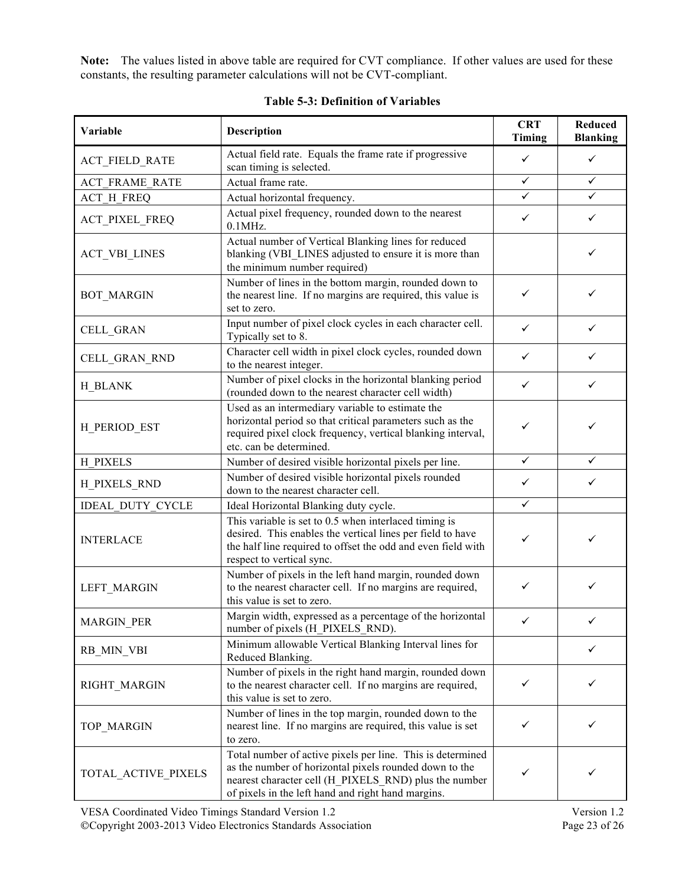**Note:** The values listed in above table are required for CVT compliance. If other values are used for these constants, the resulting parameter calculations will not be CVT-compliant.

| Variable              | <b>Description</b>                                                                                                                                                                                                                  | <b>CRT</b><br>Timing | Reduced<br><b>Blanking</b> |
|-----------------------|-------------------------------------------------------------------------------------------------------------------------------------------------------------------------------------------------------------------------------------|----------------------|----------------------------|
| <b>ACT_FIELD_RATE</b> | Actual field rate. Equals the frame rate if progressive<br>scan timing is selected.                                                                                                                                                 | ✓                    | ✓                          |
| <b>ACT FRAME RATE</b> | Actual frame rate.                                                                                                                                                                                                                  | $\checkmark$         | ✓                          |
| <b>ACT H FREQ</b>     | Actual horizontal frequency.                                                                                                                                                                                                        |                      |                            |
| <b>ACT_PIXEL_FREQ</b> | Actual pixel frequency, rounded down to the nearest<br>$0.1$ MHz.                                                                                                                                                                   | ✓                    | ✓                          |
| <b>ACT_VBI_LINES</b>  | Actual number of Vertical Blanking lines for reduced<br>blanking (VBI_LINES adjusted to ensure it is more than<br>the minimum number required)                                                                                      |                      | ✓                          |
| <b>BOT_MARGIN</b>     | Number of lines in the bottom margin, rounded down to<br>the nearest line. If no margins are required, this value is<br>set to zero.                                                                                                | ✓                    | ✓                          |
| CELL_GRAN             | Input number of pixel clock cycles in each character cell.<br>Typically set to 8.                                                                                                                                                   | ✓                    | ✓                          |
| CELL_GRAN_RND         | Character cell width in pixel clock cycles, rounded down<br>to the nearest integer.                                                                                                                                                 | ✓                    | ✓                          |
| H BLANK               | Number of pixel clocks in the horizontal blanking period<br>(rounded down to the nearest character cell width)                                                                                                                      | ✓                    | ✓                          |
| H_PERIOD_EST          | Used as an intermediary variable to estimate the<br>horizontal period so that critical parameters such as the<br>required pixel clock frequency, vertical blanking interval,<br>etc. can be determined.                             | ✓                    |                            |
| H PIXELS              | Number of desired visible horizontal pixels per line.                                                                                                                                                                               | ✓                    | ✓                          |
| <b>H_PIXELS_RND</b>   | Number of desired visible horizontal pixels rounded<br>down to the nearest character cell.                                                                                                                                          | ✓                    | ✓                          |
| IDEAL_DUTY_CYCLE      | Ideal Horizontal Blanking duty cycle.                                                                                                                                                                                               | $\checkmark$         |                            |
| <b>INTERLACE</b>      | This variable is set to 0.5 when interlaced timing is<br>desired. This enables the vertical lines per field to have<br>the half line required to offset the odd and even field with<br>respect to vertical sync.                    | ✓                    | ✓                          |
| LEFT_MARGIN           | Number of pixels in the left hand margin, rounded down<br>to the nearest character cell. If no margins are required,<br>this value is set to zero.                                                                                  | ✓                    | ✓                          |
| <b>MARGIN_PER</b>     | Margin width, expressed as a percentage of the horizontal<br>number of pixels (H_PIXELS_RND).                                                                                                                                       |                      | ✓                          |
| RB MIN VBI            | Minimum allowable Vertical Blanking Interval lines for<br>Reduced Blanking.                                                                                                                                                         |                      | ✓                          |
| <b>RIGHT MARGIN</b>   | Number of pixels in the right hand margin, rounded down<br>✓<br>to the nearest character cell. If no margins are required,<br>this value is set to zero.                                                                            |                      | ✓                          |
| TOP_MARGIN            | Number of lines in the top margin, rounded down to the<br>nearest line. If no margins are required, this value is set<br>to zero.                                                                                                   |                      | ✓                          |
| TOTAL_ACTIVE_PIXELS   | Total number of active pixels per line. This is determined<br>as the number of horizontal pixels rounded down to the<br>nearest character cell (H_PIXELS_RND) plus the number<br>of pixels in the left hand and right hand margins. | ✓                    |                            |

#### **Table 5-3: Definition of Variables**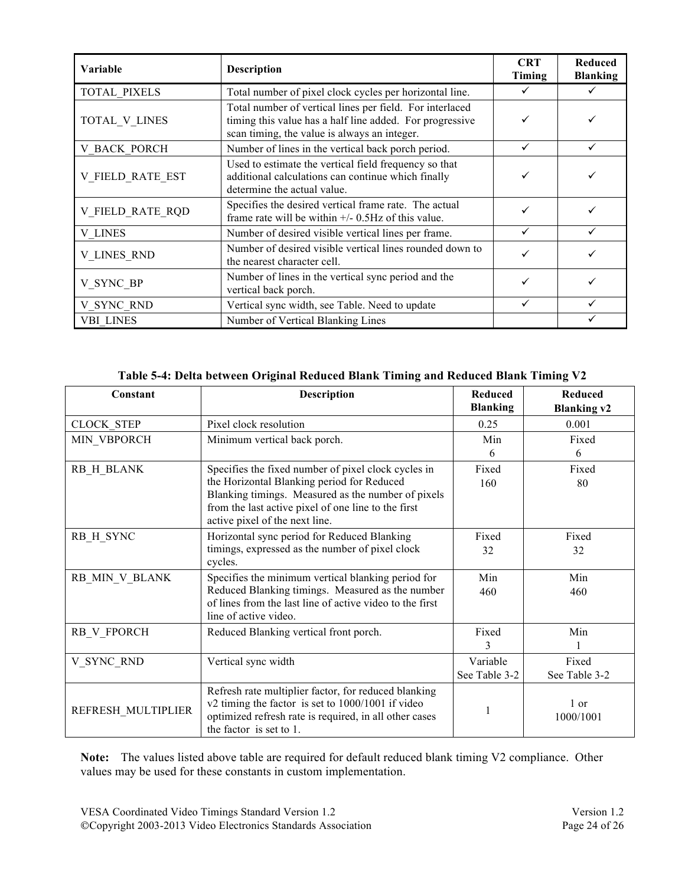| <b>Variable</b>         | <b>Description</b>                                                                                                                                                   | <b>CRT</b><br>Timing | <b>Reduced</b><br><b>Blanking</b> |
|-------------------------|----------------------------------------------------------------------------------------------------------------------------------------------------------------------|----------------------|-----------------------------------|
| <b>TOTAL PIXELS</b>     | Total number of pixel clock cycles per horizontal line.                                                                                                              |                      |                                   |
| TOTAL_V_LINES           | Total number of vertical lines per field. For interlaced<br>timing this value has a half line added. For progressive<br>scan timing, the value is always an integer. |                      |                                   |
| <b>V BACK PORCH</b>     | Number of lines in the vertical back porch period.                                                                                                                   |                      |                                   |
| <b>V FIELD RATE EST</b> | Used to estimate the vertical field frequency so that<br>additional calculations can continue which finally<br>determine the actual value.                           |                      |                                   |
| V FIELD RATE RQD        | Specifies the desired vertical frame rate. The actual<br>frame rate will be within $+/- 0.5$ Hz of this value.                                                       |                      |                                   |
| <b>V LINES</b>          | Number of desired visible vertical lines per frame.                                                                                                                  |                      |                                   |
| <b>V LINES RND</b>      | Number of desired visible vertical lines rounded down to<br>the nearest character cell.                                                                              |                      |                                   |
| V SYNC BP               | Number of lines in the vertical sync period and the<br>vertical back porch.                                                                                          |                      |                                   |
| V_SYNC_RND              | Vertical sync width, see Table. Need to update                                                                                                                       |                      |                                   |
| <b>VBI LINES</b>        | Number of Vertical Blanking Lines                                                                                                                                    |                      |                                   |

| Table 5-4: Delta between Original Reduced Blank Timing and Reduced Blank Timing V2 |  |  |
|------------------------------------------------------------------------------------|--|--|
|                                                                                    |  |  |

| Constant           | <b>Description</b>                                                                                                                                                                             | <b>Reduced</b><br><b>Blanking</b> | <b>Reduced</b><br><b>Blanking v2</b> |
|--------------------|------------------------------------------------------------------------------------------------------------------------------------------------------------------------------------------------|-----------------------------------|--------------------------------------|
| <b>CLOCK STEP</b>  | Pixel clock resolution                                                                                                                                                                         | 0.25                              | 0.001                                |
| MIN_VBPORCH        | Minimum vertical back porch.                                                                                                                                                                   | Min                               | Fixed                                |
|                    |                                                                                                                                                                                                | 6                                 | 6                                    |
| RB H BLANK         | Specifies the fixed number of pixel clock cycles in                                                                                                                                            | Fixed                             | Fixed                                |
|                    | the Horizontal Blanking period for Reduced<br>Blanking timings. Measured as the number of pixels<br>from the last active pixel of one line to the first<br>active pixel of the next line.      | 160                               | 80                                   |
| RB H SYNC          | Horizontal sync period for Reduced Blanking                                                                                                                                                    | Fixed                             | Fixed                                |
|                    | timings, expressed as the number of pixel clock<br>cycles.                                                                                                                                     | 32                                | 32                                   |
| RB MIN V BLANK     | Specifies the minimum vertical blanking period for                                                                                                                                             | Min                               | Min                                  |
|                    | Reduced Blanking timings. Measured as the number<br>of lines from the last line of active video to the first<br>line of active video.                                                          | 460                               | 460                                  |
| RB V FPORCH        | Reduced Blanking vertical front porch.                                                                                                                                                         | Fixed                             | Min                                  |
|                    |                                                                                                                                                                                                | 3                                 |                                      |
| V SYNC RND         | Vertical sync width                                                                                                                                                                            | Variable                          | Fixed                                |
|                    |                                                                                                                                                                                                | See Table 3-2                     | See Table 3-2                        |
| REFRESH MULTIPLIER | Refresh rate multiplier factor, for reduced blanking<br>v2 timing the factor is set to 1000/1001 if video<br>optimized refresh rate is required, in all other cases<br>the factor is set to 1. |                                   | 1 or<br>1000/1001                    |

**Note:** The values listed above table are required for default reduced blank timing V2 compliance. Other values may be used for these constants in custom implementation.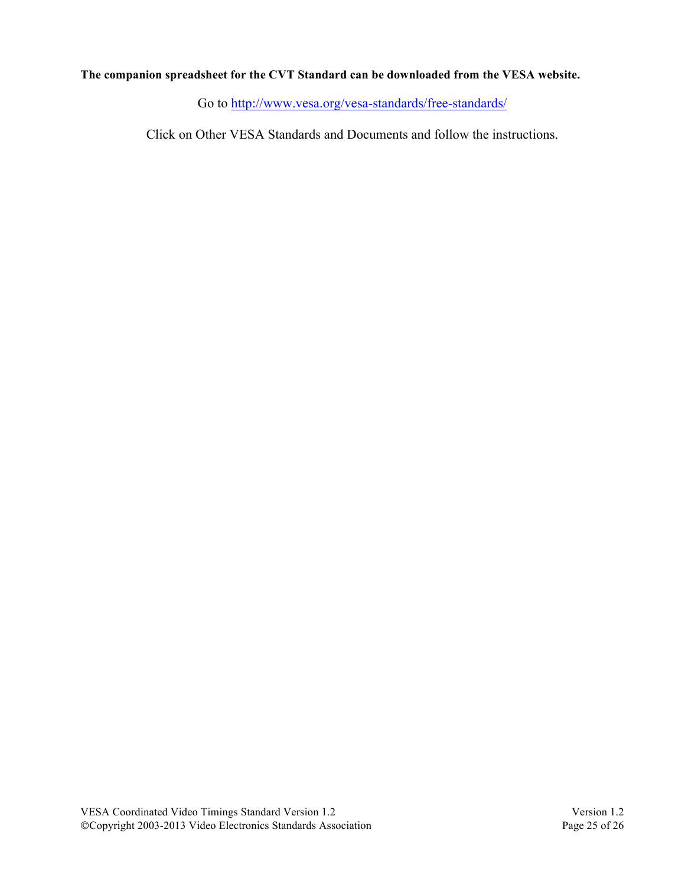### **The companion spreadsheet for the CVT Standard can be downloaded from the VESA website.**

Go to http://www.vesa.org/vesa-standards/free-standards/

Click on Other VESA Standards and Documents and follow the instructions.